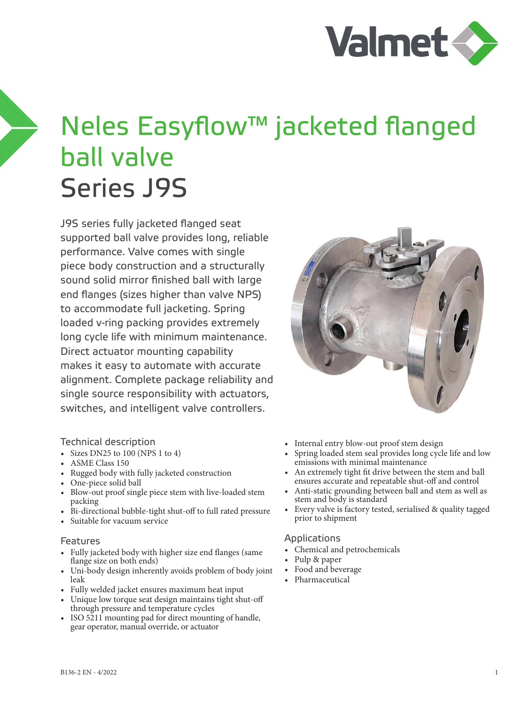

# Neles Easyflow™ jacketed flanged ball valve Series J9S

J9S series fully jacketed flanged seat supported ball valve provides long, reliable performance. Valve comes with single piece body construction and a structurally sound solid mirror finished ball with large end flanges (sizes higher than valve NPS) to accommodate full jacketing. Spring loaded v-ring packing provides extremely long cycle life with minimum maintenance. Direct actuator mounting capability makes it easy to automate with accurate alignment. Complete package reliability and single source responsibility with actuators, switches, and intelligent valve controllers.

Technical description

- Sizes DN25 to  $100$  (NPS 1 to 4)
- ASME Class 150
- Rugged body with fully jacketed construction
- One-piece solid ball
- Blow-out proof single piece stem with live-loaded stem packing
- Bi-directional bubble-tight shut-off to full rated pressure
- Suitable for vacuum service

#### Features

- Fully jacketed body with higher size end flanges (same flange size on both ends)
- Uni-body design inherently avoids problem of body joint leak
- Fully welded jacket ensures maximum heat input
- Unique low torque seat design maintains tight shut-off through pressure and temperature cycles
- ISO 5211 mounting pad for direct mounting of handle, gear operator, manual override, or actuator



- Internal entry blow-out proof stem design
- Spring loaded stem seal provides long cycle life and low emissions with minimal maintenance
- An extremely tight fit drive between the stem and ball ensures accurate and repeatable shut-off and control
- Anti-static grounding between ball and stem as well as stem and body is standard
- Every valve is factory tested, serialised & quality tagged prior to shipment

#### Applications

- Chemical and petrochemicals
- Pulp & paper
- Food and beverage
- Pharmaceutical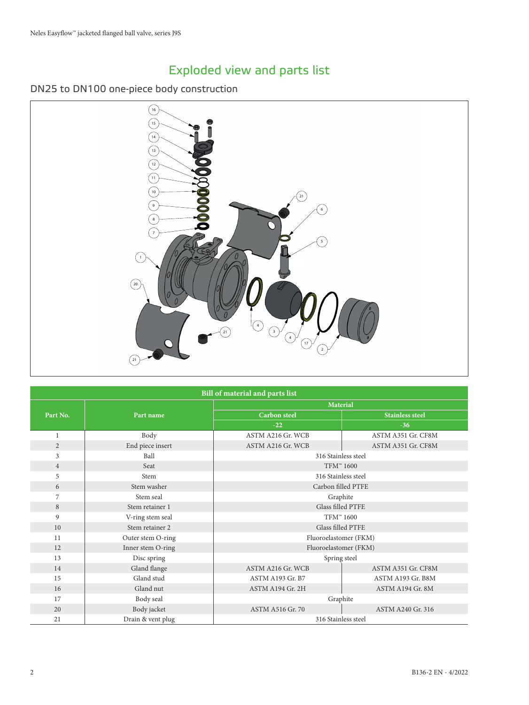# Exploded view and parts list

# DN25 to DN100 one-piece body construction



| Bill of material and parts list |                   |                       |                        |  |  |  |  |  |
|---------------------------------|-------------------|-----------------------|------------------------|--|--|--|--|--|
|                                 |                   | <b>Material</b>       |                        |  |  |  |  |  |
| Part No.                        | Part name         | <b>Carbon</b> steel   | <b>Stainless steel</b> |  |  |  |  |  |
|                                 |                   | $-22$                 | $-36$                  |  |  |  |  |  |
| 1                               | Body              | ASTM A216 Gr. WCB     | ASTM A351 Gr. CF8M     |  |  |  |  |  |
| $\overline{2}$                  | End piece insert  | ASTM A216 Gr. WCB     | ASTM A351 Gr. CF8M     |  |  |  |  |  |
| 3                               | Ball              | 316 Stainless steel   |                        |  |  |  |  |  |
| $\overline{4}$                  | Seat              | TFM™ 1600             |                        |  |  |  |  |  |
| 5                               | Stem              | 316 Stainless steel   |                        |  |  |  |  |  |
| 6                               | Stem washer       | Carbon filled PTFE    |                        |  |  |  |  |  |
| 7                               | Stem seal         | Graphite              |                        |  |  |  |  |  |
| 8                               | Stem retainer 1   | Glass filled PTFE     |                        |  |  |  |  |  |
| 9                               | V-ring stem seal  | TFM™ 1600             |                        |  |  |  |  |  |
| 10                              | Stem retainer 2   | Glass filled PTFE     |                        |  |  |  |  |  |
| 11                              | Outer stem O-ring | Fluoroelastomer (FKM) |                        |  |  |  |  |  |
| 12                              | Inner stem O-ring | Fluoroelastomer (FKM) |                        |  |  |  |  |  |
| 13                              | Disc spring       | Spring steel          |                        |  |  |  |  |  |
| 14                              | Gland flange      | ASTM A216 Gr. WCB     | ASTM A351 Gr. CF8M     |  |  |  |  |  |
| 15                              | Gland stud        | ASTM A193 Gr. B7      | ASTM A193 Gr. B8M      |  |  |  |  |  |
| 16                              | Gland nut         | ASTM A194 Gr. 2H      | ASTM A194 Gr. 8M       |  |  |  |  |  |
| 17                              | Body seal         | Graphite              |                        |  |  |  |  |  |
| 20                              | Body jacket       | ASTM A516 Gr. 70      | ASTM A240 Gr. 316      |  |  |  |  |  |
| 21                              | Drain & vent plug | 316 Stainless steel   |                        |  |  |  |  |  |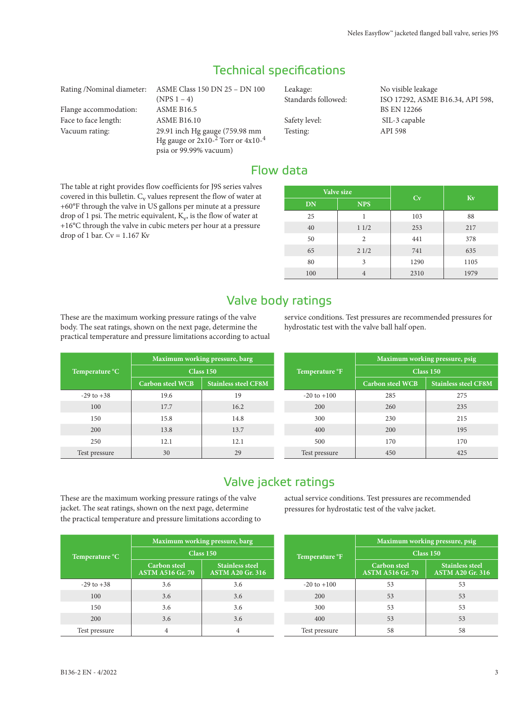| Rating/Nominal diameter: | ASME Class 150 DN 25 - DN 100               |
|--------------------------|---------------------------------------------|
|                          | $(NPS 1 - 4)$                               |
| Flange accommodation:    | <b>ASME B16.5</b>                           |
| Face to face length:     | <b>ASME B16.10</b>                          |
| Vacuum rating:           | 29.91 inch Hg gauge (759.98 mm              |
|                          | Hg gauge or $2x10^{-2}$ Torr or $4x10^{-4}$ |

psia or 99.99% vacuum)

| <b>Technical specifications</b> |
|---------------------------------|
|                                 |

Leakage: No visible leakage Standards followed: ISO 17292, ASME B16.34, API 598, BS EN 12266 Safety level: SIL-3 capable Testing: API 598

## Flow data

The table at right provides flow coefficients for J9S series valves covered in this bulletin.  $C_v$  values represent the flow of water at +60°F through the valve in US gallons per minute at a pressure drop of 1 psi. The metric equivalent,  $K_v$ , is the flow of water at +16°C through the valve in cubic meters per hour at a pressure drop of 1 bar.  $Cv = 1.167$  Kv

|           | Valve size     | Cv   | Kv   |  |  |
|-----------|----------------|------|------|--|--|
| <b>DN</b> | <b>NPS</b>     |      |      |  |  |
| 25        | 1              | 103  | 88   |  |  |
| 40        | 11/2           | 253  | 217  |  |  |
| 50        | $\overline{2}$ | 441  | 378  |  |  |
| 65        | 21/2           | 741  | 635  |  |  |
| 80        | 3              | 1290 | 1105 |  |  |
| 100       | 4              | 2310 | 1979 |  |  |

# Valve body ratings

These are the maximum working pressure ratings of the valve body. The seat ratings, shown on the next page, determine the practical temperature and pressure limitations according to actual

|                | Maximum working pressure, barg |                             |  |  |  |  |  |
|----------------|--------------------------------|-----------------------------|--|--|--|--|--|
| Temperature °C | Class 150                      |                             |  |  |  |  |  |
|                | <b>Carbon steel WCB</b>        | <b>Stainless steel CF8M</b> |  |  |  |  |  |
| $-29$ to $+38$ | 19.6                           | 19                          |  |  |  |  |  |
| 100            | 17.7                           | 16.2                        |  |  |  |  |  |
| 150            | 15.8                           | 14.8                        |  |  |  |  |  |
| 200            | 13.8                           | 13.7                        |  |  |  |  |  |
| 250            | 12.1                           | 12.1                        |  |  |  |  |  |
| Test pressure  | 30                             | 29                          |  |  |  |  |  |

service conditions. Test pressures are recommended pressures for hydrostatic test with the valve ball half open.

|                 | Maximum working pressure, psig |                             |  |  |  |  |  |
|-----------------|--------------------------------|-----------------------------|--|--|--|--|--|
| Temperature °F  | <b>Class 150</b>               |                             |  |  |  |  |  |
|                 | <b>Carbon steel WCB</b>        | <b>Stainless steel CF8M</b> |  |  |  |  |  |
| $-20$ to $+100$ | 285                            | 275                         |  |  |  |  |  |
| 200             | 260                            | 235                         |  |  |  |  |  |
| 300             | 230                            | 215                         |  |  |  |  |  |
| 400             | 200                            | 195                         |  |  |  |  |  |
| 500             | 170                            | 170                         |  |  |  |  |  |
| Test pressure   | 450                            | 425                         |  |  |  |  |  |

# Valve jacket ratings

These are the maximum working pressure ratings of the valve jacket. The seat ratings, shown on the next page, determine the practical temperature and pressure limitations according to actual service conditions. Test pressures are recommended pressures for hydrostatic test of the valve jacket.

|                |                                                | Maximum working pressure, barg                    |                 | Maximum working pressure, psig                 |                                                   |  |  |  |
|----------------|------------------------------------------------|---------------------------------------------------|-----------------|------------------------------------------------|---------------------------------------------------|--|--|--|
| Temperature °C |                                                | Class 150                                         | Temperature °F  | <b>Class 150</b>                               |                                                   |  |  |  |
|                | <b>Carbon</b> steel<br><b>ASTM A516 Gr. 70</b> | <b>Stainless steel</b><br><b>ASTM A20 Gr. 316</b> |                 | <b>Carbon</b> steel<br><b>ASTM A516 Gr. 70</b> | <b>Stainless steel</b><br><b>ASTM A20 Gr. 316</b> |  |  |  |
| $-29$ to $+38$ | 3.6                                            | 3.6                                               | $-20$ to $+100$ | 53                                             | 53                                                |  |  |  |
| 100            | 3.6                                            | 3.6                                               | 200             | 53                                             | 53                                                |  |  |  |
| 150            | 3.6                                            | 3.6                                               | 300             | 53                                             | 53                                                |  |  |  |
| 200            | 3.6                                            | 3.6                                               | 400             | 53                                             | 53                                                |  |  |  |
| Test pressure  | 4                                              | 4                                                 | Test pressure   | 58                                             | 58                                                |  |  |  |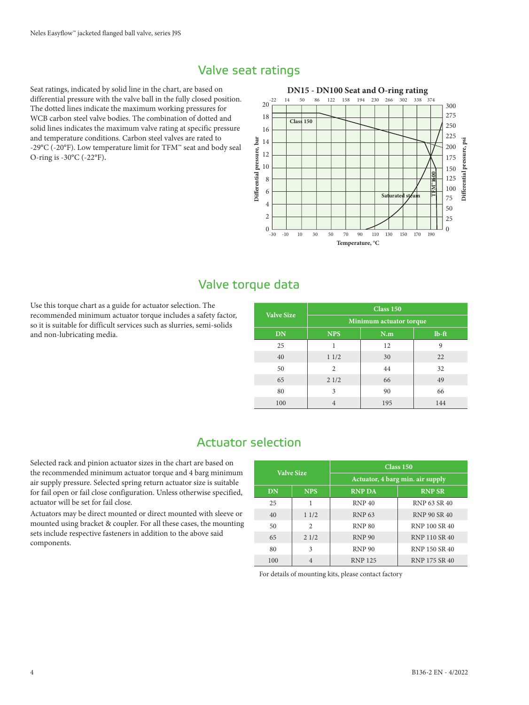# Valve seat ratings

Seat ratings, indicated by solid line in the chart, are based on differential pressure with the valve ball in the fully closed position. The dotted lines indicate the maximum working pressures for WCB carbon steel valve bodies. The combination of dotted and solid lines indicates the maximum valve rating at specific pressure and temperature conditions. Carbon steel valves are rated to -29°C (-20°F). Low temperature limit for TFM™ seat and body seal O-ring is -30°C (-22°F).



## Valve torque data

Use this torque chart as a guide for actuator selection. The recommended minimum actuator torque includes a safety factor, so it is suitable for difficult services such as slurries, semi-solids and non-lubricating media.

| <b>Valve Size</b> | <b>Class 150</b>        |     |          |  |  |  |  |  |
|-------------------|-------------------------|-----|----------|--|--|--|--|--|
|                   | Minimum actuator torque |     |          |  |  |  |  |  |
| <b>DN</b>         | <b>NPS</b>              | N.m | $lb$ -ft |  |  |  |  |  |
| 25                | 1                       | 12  | 9        |  |  |  |  |  |
| 40                | 11/2                    | 30  | 22       |  |  |  |  |  |
| 50                | $\overline{2}$          | 44  | 32       |  |  |  |  |  |
| 65                | 21/2                    | 66  | 49       |  |  |  |  |  |
| 80                | 3                       | 90  | 66       |  |  |  |  |  |
| 100               | $\overline{4}$          | 195 | 144      |  |  |  |  |  |

# Actuator selection

Selected rack and pinion actuator sizes in the chart are based on the recommended minimum actuator torque and 4 barg minimum air supply pressure. Selected spring return actuator size is suitable for fail open or fail close configuration. Unless otherwise specified, actuator will be set for fail close.

Actuators may be direct mounted or direct mounted with sleeve or mounted using bracket & coupler. For all these cases, the mounting sets include respective fasteners in addition to the above said components.

|     | <b>Valve Size</b> | Class 150                        |                      |  |  |  |  |  |
|-----|-------------------|----------------------------------|----------------------|--|--|--|--|--|
|     |                   | Actuator, 4 barg min. air supply |                      |  |  |  |  |  |
| DN  | <b>NPS</b>        | <b>RNP DA</b>                    | <b>RNP SR</b>        |  |  |  |  |  |
| 25  | 1                 | RNP <sub>40</sub>                | RNP 63 SR 40         |  |  |  |  |  |
| 40  | 11/2              | RNP 63                           | RNP 90 SR 40         |  |  |  |  |  |
| 50  | $\mathfrak{D}$    | <b>RNP 80</b>                    | RNP 100 SR 40        |  |  |  |  |  |
| 65  | 21/2              | <b>RNP 90</b>                    | RNP 110 SR 40        |  |  |  |  |  |
| 80  | 3                 | <b>RNP 90</b>                    | RNP 150 SR 40        |  |  |  |  |  |
| 100 |                   | <b>RNP125</b>                    | <b>RNP 175 SR 40</b> |  |  |  |  |  |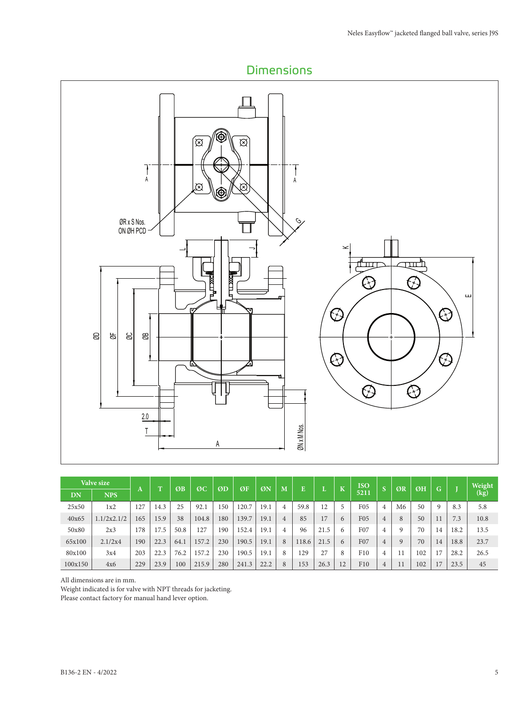

|         | Valve size  |     | m    | ØB   | ØC    | ØD  | ØF    | ØN   | M              | Ē     |      | $\bf K$  | <b>ISO</b>      | $\epsilon$     | ØR | ØH  | G.             |      | Weight |
|---------|-------------|-----|------|------|-------|-----|-------|------|----------------|-------|------|----------|-----------------|----------------|----|-----|----------------|------|--------|
| DN      | <b>NPS</b>  | A   |      |      |       |     |       |      |                |       |      |          | 5211            | э              |    |     |                |      | (kg)   |
| 25x50   | 1x2         | 127 | 14.3 | 25   | 92.1  | 150 | 120.7 | 19.1 | 4              | 59.8  | 12   |          | F <sub>05</sub> | $\overline{4}$ | M6 | 50  | 9              | 8.3  | 5.8    |
| 40x65   | 1.1/2x2.1/2 | 165 | 15.9 | 38   | 104.8 | 180 | 139.7 | 19.1 | $\overline{4}$ | 85    | 17   | $\sigma$ | <b>F05</b>      | 4              | 8  | 50  | 1 <sup>1</sup> | 7.3  | 10.8   |
| 50x80   | 2x3         | 178 | 17.5 | 50.8 | .27   | 190 | 152.4 | 19.1 | 4              | 96    | 21.5 | 6        | F <sub>07</sub> | 4              | 9  | 70  | 14             | 18.2 | 13.5   |
| 65x100  | 2.1/2x4     | 190 | 22.3 | 64.1 | 157.2 | 230 | 190.5 | 19.1 | 8              | 118.6 | 21.5 | 6        | F07             | 4              | Q  | 70  | 14             | 18.8 | 23.7   |
| 80x100  | 3x4         | 203 | 22.3 | 76.2 | 157.2 | 230 | 190.5 | 19.1 | 8              | 129   | 27   | 8        | F10             | 4              | 11 | 102 | 17             | 28.2 | 26.5   |
| 100x150 | 4x6         | 229 | 23.9 | 100  | 215.9 | 280 | 241.3 | 22.2 | 8              | 153   | 26.3 | 12       | F10             | 4              | 11 | 102 | 17             | 23.5 | 45     |

All dimensions are in mm.

Weight indicated is for valve with NPT threads for jacketing. Please contact factory for manual hand lever option.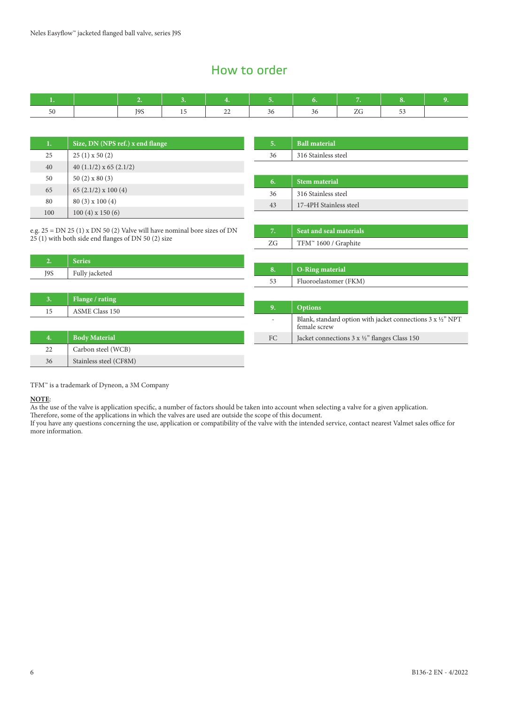## How to order

|  |                 |    | <u>and the second contract of the second contract of the second contract of the second contract of the second contract of the second contract of the second contract of the second contract of the second contract of the second</u> |     |  |  |
|--|-----------------|----|--------------------------------------------------------------------------------------------------------------------------------------------------------------------------------------------------------------------------------------|-----|--|--|
|  | TQ <sub>S</sub> | -- |                                                                                                                                                                                                                                      | -56 |  |  |

| п.  | Size, DN (NPS ref.) x end flange                                           | 5. | <b>Ball material</b>    |
|-----|----------------------------------------------------------------------------|----|-------------------------|
| 25  | $25(1) \times 50(2)$                                                       | 36 | 316 Stainless steel     |
| 40  | $40(1.1/2)$ x 65 (2.1/2)                                                   |    |                         |
| 50  | 50 $(2)$ x 80 $(3)$                                                        | 6. | <b>Stem material</b>    |
| 65  | $65(2.1/2) \times 100(4)$                                                  | 36 | 316 Stainless steel     |
| 80  | $80(3) \times 100(4)$                                                      | 43 | 17-4PH Stainless steel  |
| 100 | $100(4)$ x 150 (6)                                                         |    |                         |
|     |                                                                            |    |                         |
|     | e.g. $25 = DN 25 (1)$ x DN 50 (2) Valve will have nominal bore sizes of DN | 7. | Seat and seal materials |
|     | 25 (1) with both side end flanges of DN 50 (2) size                        | ZG | TFM™ 1600 / Graphite    |
|     |                                                                            |    |                         |
| 2.  | <b>Series</b>                                                              |    |                         |
| J9S | Fully jacketed                                                             | 8. | O-Ring material         |
|     |                                                                            | 53 | Fluoroelastomer (FKM)   |

| 3. | Flange / rating        |                          |                                                                                   |
|----|------------------------|--------------------------|-----------------------------------------------------------------------------------|
| 15 | <b>ASME Class 150</b>  |                          | <b>Options</b>                                                                    |
|    |                        | $\overline{\phantom{a}}$ | Blank, standard option with jacket connections $3 \times 1/2$ NPT<br>female screw |
|    | <b>Body Material</b>   | FC                       | Jacket connections $3 \times \frac{1}{2}$ flanges Class 150                       |
| 22 | Carbon steel (WCB)     |                          |                                                                                   |
| 36 | Stainless steel (CF8M) |                          |                                                                                   |

TFM™ is a trademark of Dyneon, a 3M Company

#### **NOTE**:

As the use of the valve is application specific, a number of factors should be taken into account when selecting a valve for a given application.

Therefore, some of the applications in which the valves are used are outside the scope of this document.

If you have any questions concerning the use, application or compatibility of the valve with the intended service, contact nearest Valmet sales office for more information.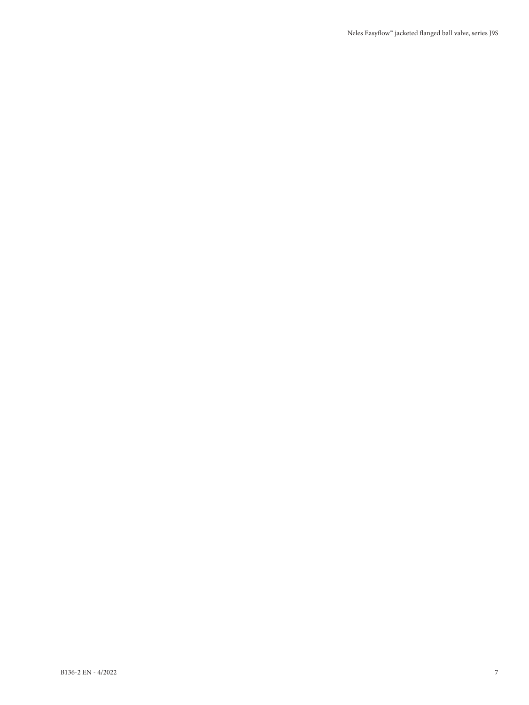Neles Easyflow™ jacketed flanged ball valve, series J9S